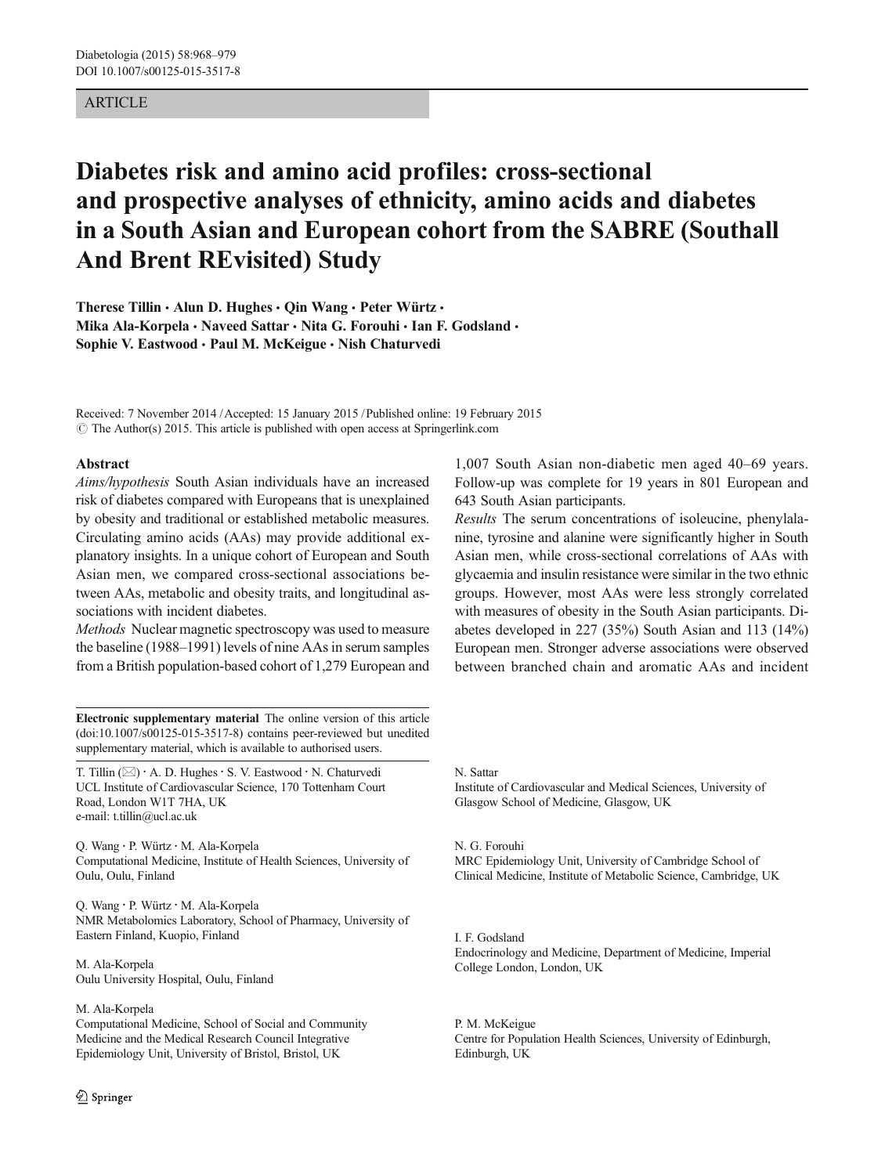# **ARTICLE**

# Diabetes risk and amino acid profiles: cross-sectional and prospective analyses of ethnicity, amino acids and diabetes in a South Asian and European cohort from the SABRE (Southall And Brent REvisited) Study

Therese Tillin · Alun D. Hughes · Qin Wang · Peter Würtz · Mika Ala-Korpela · Naveed Sattar · Nita G. Forouhi · Ian F. Godsland · Sophie V. Eastwood · Paul M. McKeigue · Nish Chaturvedi

Received: 7 November 2014 /Accepted: 15 January 2015 /Published online: 19 February 2015  $\odot$  The Author(s) 2015. This article is published with open access at Springerlink.com

#### Abstract

Aims/hypothesis South Asian individuals have an increased risk of diabetes compared with Europeans that is unexplained by obesity and traditional or established metabolic measures. Circulating amino acids (AAs) may provide additional explanatory insights. In a unique cohort of European and South Asian men, we compared cross-sectional associations between AAs, metabolic and obesity traits, and longitudinal associations with incident diabetes.

Methods Nuclear magnetic spectroscopy was used to measure the baseline (1988–1991) levels of nine AAs in serum samples from a British population-based cohort of 1,279 European and

Electronic supplementary material The online version of this article (doi[:10.1007/s00125-015-3517-8\)](http://dx.doi.org/10.1007/s00125-015-3517-8) contains peer-reviewed but unedited supplementary material, which is available to authorised users.

T. Tillin  $(\boxtimes) \cdot A$ . D. Hughes $\cdot S$ . V. Eastwood  $\cdot N$ . Chaturvedi UCL Institute of Cardiovascular Science, 170 Tottenham Court Road, London W1T 7HA, UK e-mail: t.tillin@ucl.ac.uk

Q. Wang : P. Würtz : M. Ala-Korpela Computational Medicine, Institute of Health Sciences, University of Oulu, Oulu, Finland

Q. Wang : P. Würtz : M. Ala-Korpela NMR Metabolomics Laboratory, School of Pharmacy, University of Eastern Finland, Kuopio, Finland

M. Ala-Korpela Oulu University Hospital, Oulu, Finland

M. Ala-Korpela

Computational Medicine, School of Social and Community Medicine and the Medical Research Council Integrative Epidemiology Unit, University of Bristol, Bristol, UK

1,007 South Asian non-diabetic men aged 40–69 years. Follow-up was complete for 19 years in 801 European and 643 South Asian participants.

Results The serum concentrations of isoleucine, phenylalanine, tyrosine and alanine were significantly higher in South Asian men, while cross-sectional correlations of AAs with glycaemia and insulin resistance were similar in the two ethnic groups. However, most AAs were less strongly correlated with measures of obesity in the South Asian participants. Diabetes developed in 227 (35%) South Asian and 113 (14%) European men. Stronger adverse associations were observed between branched chain and aromatic AAs and incident

N. Sattar

Institute of Cardiovascular and Medical Sciences, University of Glasgow School of Medicine, Glasgow, UK

N. G. Forouhi MRC Epidemiology Unit, University of Cambridge School of Clinical Medicine, Institute of Metabolic Science, Cambridge, UK

I. F. Godsland Endocrinology and Medicine, Department of Medicine, Imperial College London, London, UK

P. M. McKeigue Centre for Population Health Sciences, University of Edinburgh, Edinburgh, UK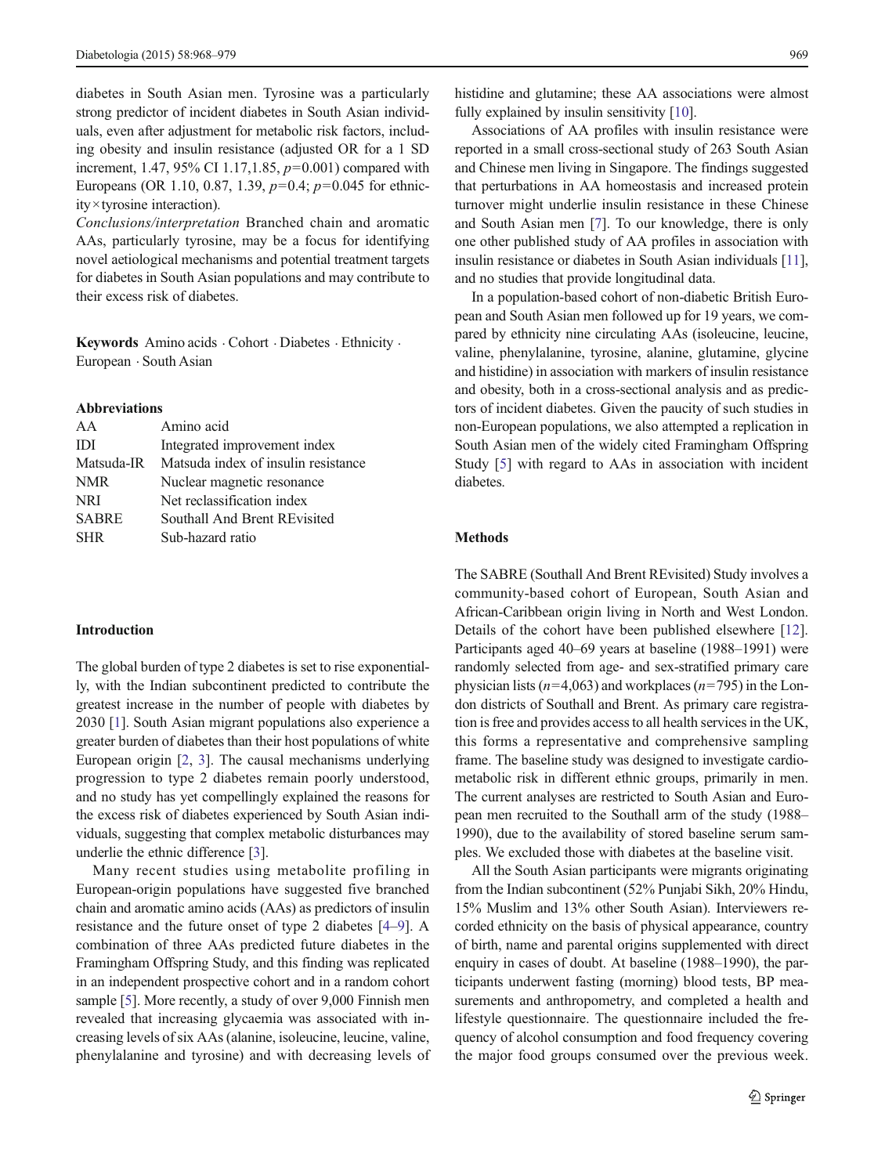diabetes in South Asian men. Tyrosine was a particularly strong predictor of incident diabetes in South Asian individuals, even after adjustment for metabolic risk factors, including obesity and insulin resistance (adjusted OR for a 1 SD increment, 1.47, 95% CI 1.17, 1.85,  $p=0.001$ ) compared with Europeans (OR 1.10, 0.87, 1.39,  $p=0.4$ ;  $p=0.045$  for ethnicity×tyrosine interaction).

Conclusions/interpretation Branched chain and aromatic AAs, particularly tyrosine, may be a focus for identifying novel aetiological mechanisms and potential treatment targets for diabetes in South Asian populations and may contribute to their excess risk of diabetes.

Keywords Amino acids . Cohort . Diabetes . Ethnicity . European . South Asian

#### Abbreviations

| AA           | Amino acid                          |
|--------------|-------------------------------------|
| <b>IDI</b>   | Integrated improvement index        |
| Matsuda-IR   | Matsuda index of insulin resistance |
| <b>NMR</b>   | Nuclear magnetic resonance          |
| <b>NRI</b>   | Net reclassification index          |
| <b>SABRE</b> | Southall And Brent REvisited        |
| <b>SHR</b>   | Sub-hazard ratio                    |
|              |                                     |

### Introduction

The global burden of type 2 diabetes is set to rise exponentially, with the Indian subcontinent predicted to contribute the greatest increase in the number of people with diabetes by 2030 [[1](#page-10-0)]. South Asian migrant populations also experience a greater burden of diabetes than their host populations of white European origin [\[2](#page-10-0), [3](#page-10-0)]. The causal mechanisms underlying progression to type 2 diabetes remain poorly understood, and no study has yet compellingly explained the reasons for the excess risk of diabetes experienced by South Asian individuals, suggesting that complex metabolic disturbances may underlie the ethnic difference [\[3](#page-10-0)].

Many recent studies using metabolite profiling in European-origin populations have suggested five branched chain and aromatic amino acids (AAs) as predictors of insulin resistance and the future onset of type 2 diabetes [[4](#page-10-0)–[9\]](#page-10-0). A combination of three AAs predicted future diabetes in the Framingham Offspring Study, and this finding was replicated in an independent prospective cohort and in a random cohort sample [\[5\]](#page-10-0). More recently, a study of over 9,000 Finnish men revealed that increasing glycaemia was associated with increasing levels of six AAs (alanine, isoleucine, leucine, valine, phenylalanine and tyrosine) and with decreasing levels of histidine and glutamine; these AA associations were almost fully explained by insulin sensitivity [[10\]](#page-10-0).

Associations of AA profiles with insulin resistance were reported in a small cross-sectional study of 263 South Asian and Chinese men living in Singapore. The findings suggested that perturbations in AA homeostasis and increased protein turnover might underlie insulin resistance in these Chinese and South Asian men [\[7](#page-10-0)]. To our knowledge, there is only one other published study of AA profiles in association with insulin resistance or diabetes in South Asian individuals [\[11\]](#page-10-0), and no studies that provide longitudinal data.

In a population-based cohort of non-diabetic British European and South Asian men followed up for 19 years, we compared by ethnicity nine circulating AAs (isoleucine, leucine, valine, phenylalanine, tyrosine, alanine, glutamine, glycine and histidine) in association with markers of insulin resistance and obesity, both in a cross-sectional analysis and as predictors of incident diabetes. Given the paucity of such studies in non-European populations, we also attempted a replication in South Asian men of the widely cited Framingham Offspring Study [\[5](#page-10-0)] with regard to AAs in association with incident diabetes.

## Methods

The SABRE (Southall And Brent REvisited) Study involves a community-based cohort of European, South Asian and African-Caribbean origin living in North and West London. Details of the cohort have been published elsewhere [[12\]](#page-10-0). Participants aged 40–69 years at baseline (1988–1991) were randomly selected from age- and sex-stratified primary care physician lists ( $n=4,063$ ) and workplaces ( $n=795$ ) in the London districts of Southall and Brent. As primary care registration is free and provides access to all health services in the UK, this forms a representative and comprehensive sampling frame. The baseline study was designed to investigate cardiometabolic risk in different ethnic groups, primarily in men. The current analyses are restricted to South Asian and European men recruited to the Southall arm of the study (1988– 1990), due to the availability of stored baseline serum samples. We excluded those with diabetes at the baseline visit.

All the South Asian participants were migrants originating from the Indian subcontinent (52% Punjabi Sikh, 20% Hindu, 15% Muslim and 13% other South Asian). Interviewers recorded ethnicity on the basis of physical appearance, country of birth, name and parental origins supplemented with direct enquiry in cases of doubt. At baseline (1988–1990), the participants underwent fasting (morning) blood tests, BP measurements and anthropometry, and completed a health and lifestyle questionnaire. The questionnaire included the frequency of alcohol consumption and food frequency covering the major food groups consumed over the previous week.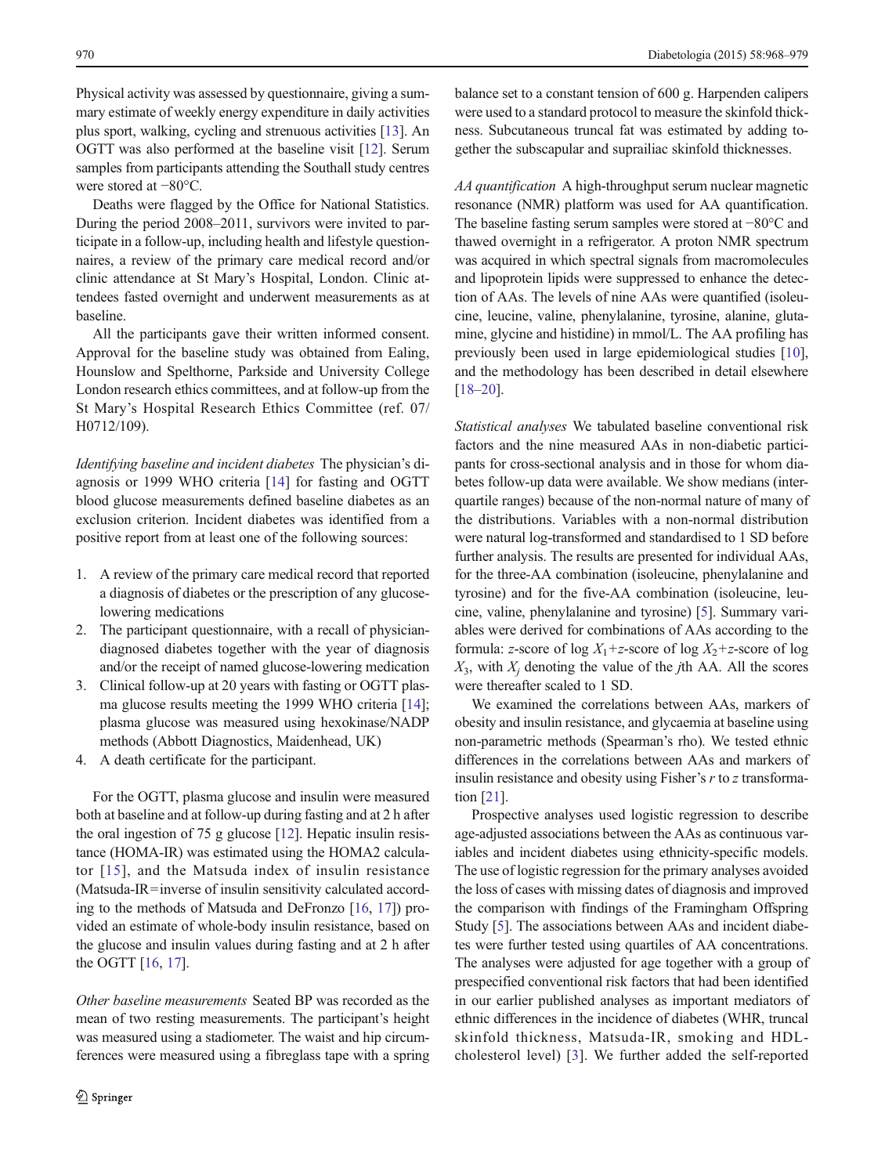Physical activity was assessed by questionnaire, giving a summary estimate of weekly energy expenditure in daily activities plus sport, walking, cycling and strenuous activities [\[13\]](#page-10-0). An OGTT was also performed at the baseline visit [\[12\]](#page-10-0). Serum samples from participants attending the Southall study centres were stored at −80°C.

Deaths were flagged by the Office for National Statistics. During the period 2008–2011, survivors were invited to participate in a follow-up, including health and lifestyle questionnaires, a review of the primary care medical record and/or clinic attendance at St Mary's Hospital, London. Clinic attendees fasted overnight and underwent measurements as at baseline.

All the participants gave their written informed consent. Approval for the baseline study was obtained from Ealing, Hounslow and Spelthorne, Parkside and University College London research ethics committees, and at follow-up from the St Mary's Hospital Research Ethics Committee (ref. 07/ H0712/109).

Identifying baseline and incident diabetes The physician's diagnosis or 1999 WHO criteria [\[14](#page-10-0)] for fasting and OGTT blood glucose measurements defined baseline diabetes as an exclusion criterion. Incident diabetes was identified from a positive report from at least one of the following sources:

- 1. A review of the primary care medical record that reported a diagnosis of diabetes or the prescription of any glucoselowering medications
- 2. The participant questionnaire, with a recall of physiciandiagnosed diabetes together with the year of diagnosis and/or the receipt of named glucose-lowering medication
- 3. Clinical follow-up at 20 years with fasting or OGTT plasma glucose results meeting the 1999 WHO criteria [[14](#page-10-0)]; plasma glucose was measured using hexokinase/NADP methods (Abbott Diagnostics, Maidenhead, UK)
- 4. A death certificate for the participant.

For the OGTT, plasma glucose and insulin were measured both at baseline and at follow-up during fasting and at 2 h after the oral ingestion of 75 g glucose [\[12](#page-10-0)]. Hepatic insulin resistance (HOMA-IR) was estimated using the HOMA2 calculator [[15\]](#page-10-0), and the Matsuda index of insulin resistance (Matsuda-IR=inverse of insulin sensitivity calculated according to the methods of Matsuda and DeFronzo [\[16](#page-10-0), [17\]](#page-10-0)) provided an estimate of whole-body insulin resistance, based on the glucose and insulin values during fasting and at 2 h after the OGTT [\[16](#page-10-0), [17\]](#page-10-0).

Other baseline measurements Seated BP was recorded as the mean of two resting measurements. The participant's height was measured using a stadiometer. The waist and hip circumferences were measured using a fibreglass tape with a spring balance set to a constant tension of 600 g. Harpenden calipers were used to a standard protocol to measure the skinfold thickness. Subcutaneous truncal fat was estimated by adding together the subscapular and suprailiac skinfold thicknesses.

AA quantification A high-throughput serum nuclear magnetic resonance (NMR) platform was used for AA quantification. The baseline fasting serum samples were stored at −80°C and thawed overnight in a refrigerator. A proton NMR spectrum was acquired in which spectral signals from macromolecules and lipoprotein lipids were suppressed to enhance the detection of AAs. The levels of nine AAs were quantified (isoleucine, leucine, valine, phenylalanine, tyrosine, alanine, glutamine, glycine and histidine) in mmol/L. The AA profiling has previously been used in large epidemiological studies [[10\]](#page-10-0), and the methodology has been described in detail elsewhere [\[18](#page-10-0)–[20\]](#page-10-0).

Statistical analyses We tabulated baseline conventional risk factors and the nine measured AAs in non-diabetic participants for cross-sectional analysis and in those for whom diabetes follow-up data were available. We show medians (interquartile ranges) because of the non-normal nature of many of the distributions. Variables with a non-normal distribution were natural log-transformed and standardised to 1 SD before further analysis. The results are presented for individual AAs, for the three-AA combination (isoleucine, phenylalanine and tyrosine) and for the five-AA combination (isoleucine, leucine, valine, phenylalanine and tyrosine) [[5\]](#page-10-0). Summary variables were derived for combinations of AAs according to the formula: z-score of log  $X_1$ +z-score of log  $X_2$ +z-score of log  $X_3$ , with  $X_i$  denoting the value of the *j*th AA. All the scores were thereafter scaled to 1 SD.

We examined the correlations between AAs, markers of obesity and insulin resistance, and glycaemia at baseline using non-parametric methods (Spearman's rho). We tested ethnic differences in the correlations between AAs and markers of insulin resistance and obesity using Fisher's r to z transformation [\[21\]](#page-10-0).

Prospective analyses used logistic regression to describe age-adjusted associations between the AAs as continuous variables and incident diabetes using ethnicity-specific models. The use of logistic regression for the primary analyses avoided the loss of cases with missing dates of diagnosis and improved the comparison with findings of the Framingham Offspring Study [[5](#page-10-0)]. The associations between AAs and incident diabetes were further tested using quartiles of AA concentrations. The analyses were adjusted for age together with a group of prespecified conventional risk factors that had been identified in our earlier published analyses as important mediators of ethnic differences in the incidence of diabetes (WHR, truncal skinfold thickness, Matsuda-IR, smoking and HDLcholesterol level) [[3\]](#page-10-0). We further added the self-reported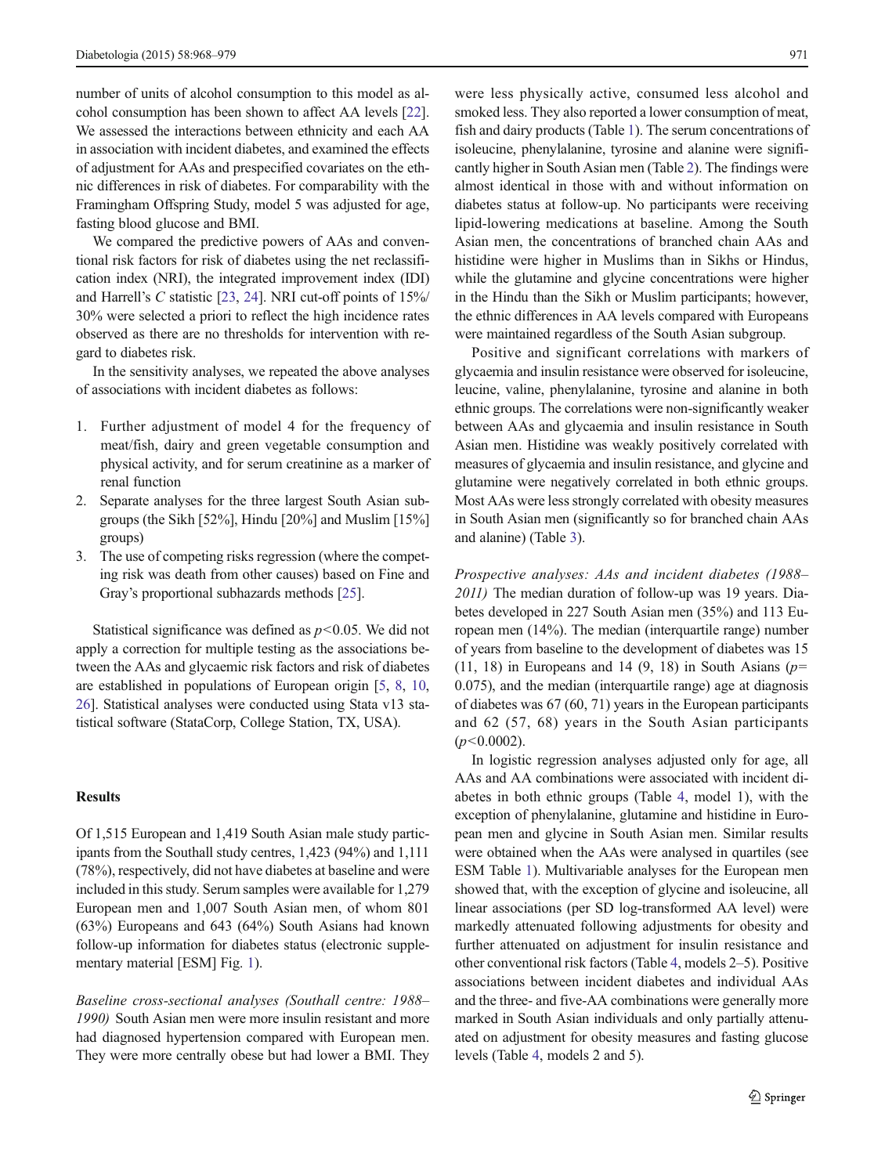number of units of alcohol consumption to this model as alcohol consumption has been shown to affect AA levels [[22\]](#page-10-0). We assessed the interactions between ethnicity and each AA in association with incident diabetes, and examined the effects of adjustment for AAs and prespecified covariates on the ethnic differences in risk of diabetes. For comparability with the Framingham Offspring Study, model 5 was adjusted for age, fasting blood glucose and BMI.

We compared the predictive powers of AAs and conventional risk factors for risk of diabetes using the net reclassification index (NRI), the integrated improvement index (IDI) and Harrell's C statistic [\[23,](#page-10-0) [24\]](#page-10-0). NRI cut-off points of 15%/ 30% were selected a priori to reflect the high incidence rates observed as there are no thresholds for intervention with regard to diabetes risk.

In the sensitivity analyses, we repeated the above analyses of associations with incident diabetes as follows:

- 1. Further adjustment of model 4 for the frequency of meat/fish, dairy and green vegetable consumption and physical activity, and for serum creatinine as a marker of renal function
- 2. Separate analyses for the three largest South Asian subgroups (the Sikh [52%], Hindu [20%] and Muslim [15%] groups)
- 3. The use of competing risks regression (where the competing risk was death from other causes) based on Fine and Gray's proportional subhazards methods [\[25](#page-10-0)].

Statistical significance was defined as  $p < 0.05$ . We did not apply a correction for multiple testing as the associations between the AAs and glycaemic risk factors and risk of diabetes are established in populations of European origin [\[5,](#page-10-0) [8,](#page-10-0) [10,](#page-10-0) [26\]](#page-10-0). Statistical analyses were conducted using Stata v13 statistical software (StataCorp, College Station, TX, USA).

# **Results**

Of 1,515 European and 1,419 South Asian male study participants from the Southall study centres, 1,423 (94%) and 1,111 (78%), respectively, did not have diabetes at baseline and were included in this study. Serum samples were available for 1,279 European men and 1,007 South Asian men, of whom 801 (63%) Europeans and 643 (64%) South Asians had known follow-up information for diabetes status (electronic supplementary material [ESM] Fig. 1).

Baseline cross-sectional analyses (Southall centre: 1988– 1990) South Asian men were more insulin resistant and more had diagnosed hypertension compared with European men. They were more centrally obese but had lower a BMI. They

were less physically active, consumed less alcohol and smoked less. They also reported a lower consumption of meat, fish and dairy products (Table [1](#page-4-0)). The serum concentrations of isoleucine, phenylalanine, tyrosine and alanine were significantly higher in South Asian men (Table [2](#page-5-0)). The findings were almost identical in those with and without information on diabetes status at follow-up. No participants were receiving lipid-lowering medications at baseline. Among the South Asian men, the concentrations of branched chain AAs and histidine were higher in Muslims than in Sikhs or Hindus, while the glutamine and glycine concentrations were higher in the Hindu than the Sikh or Muslim participants; however, the ethnic differences in AA levels compared with Europeans were maintained regardless of the South Asian subgroup.

Positive and significant correlations with markers of glycaemia and insulin resistance were observed for isoleucine, leucine, valine, phenylalanine, tyrosine and alanine in both ethnic groups. The correlations were non-significantly weaker between AAs and glycaemia and insulin resistance in South Asian men. Histidine was weakly positively correlated with measures of glycaemia and insulin resistance, and glycine and glutamine were negatively correlated in both ethnic groups. Most AAs were less strongly correlated with obesity measures in South Asian men (significantly so for branched chain AAs and alanine) (Table [3\)](#page-5-0).

Prospective analyses: AAs and incident diabetes (1988– 2011) The median duration of follow-up was 19 years. Diabetes developed in 227 South Asian men (35%) and 113 European men (14%). The median (interquartile range) number of years from baseline to the development of diabetes was 15 (11, 18) in Europeans and 14 (9, 18) in South Asians ( $p=$ 0.075), and the median (interquartile range) age at diagnosis of diabetes was 67 (60, 71) years in the European participants and 62 (57, 68) years in the South Asian participants  $(p<0.0002)$ .

In logistic regression analyses adjusted only for age, all AAs and AA combinations were associated with incident diabetes in both ethnic groups (Table [4](#page-6-0), model 1), with the exception of phenylalanine, glutamine and histidine in European men and glycine in South Asian men. Similar results were obtained when the AAs were analysed in quartiles (see ESM Table 1). Multivariable analyses for the European men showed that, with the exception of glycine and isoleucine, all linear associations (per SD log-transformed AA level) were markedly attenuated following adjustments for obesity and further attenuated on adjustment for insulin resistance and other conventional risk factors (Table [4](#page-6-0), models 2–5). Positive associations between incident diabetes and individual AAs and the three- and five-AA combinations were generally more marked in South Asian individuals and only partially attenuated on adjustment for obesity measures and fasting glucose levels (Table [4](#page-6-0), models 2 and 5).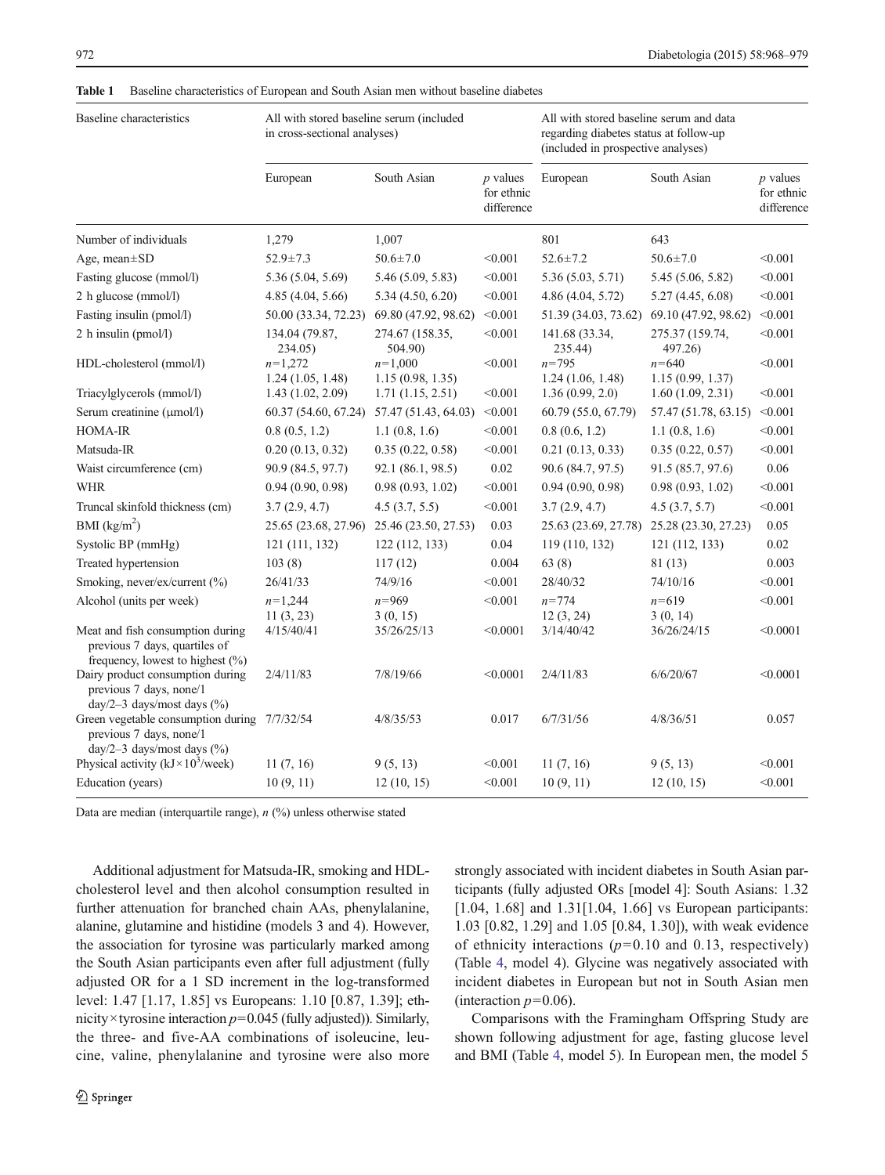#### <span id="page-4-0"></span>Table 1 Baseline characteristics of European and South Asian men without baseline diabetes

| <b>Baseline</b> characteristics                                                                       | All with stored baseline serum (included<br>in cross-sectional analyses) |                                           |                         | All with stored baseline serum and data<br>regarding diabetes status at follow-up<br>(included in prospective analyses) |                                           |                    |  |
|-------------------------------------------------------------------------------------------------------|--------------------------------------------------------------------------|-------------------------------------------|-------------------------|-------------------------------------------------------------------------------------------------------------------------|-------------------------------------------|--------------------|--|
|                                                                                                       | South Asian<br>$p$ values<br>European<br>for ethnic<br>difference        |                                           | European<br>South Asian |                                                                                                                         | $p$ values<br>for ethnic<br>difference    |                    |  |
| Number of individuals                                                                                 | 1,279                                                                    | 1,007                                     |                         | 801                                                                                                                     | 643                                       |                    |  |
| Age, mean±SD                                                                                          | $52.9 \pm 7.3$                                                           | $50.6 \pm 7.0$                            | < 0.001                 | $52.6 \pm 7.2$                                                                                                          | $50.6 \pm 7.0$                            | < 0.001            |  |
| Fasting glucose (mmol/l)                                                                              | 5.36 (5.04, 5.69)                                                        | 5.46 (5.09, 5.83)                         | < 0.001                 | 5.36 (5.03, 5.71)                                                                                                       | 5.45 (5.06, 5.82)                         | < 0.001            |  |
| 2 h glucose (mmol/l)                                                                                  | 4.85 (4.04, 5.66)                                                        | 5.34 (4.50, 6.20)                         | < 0.001                 | 4.86(4.04, 5.72)                                                                                                        | 5.27 (4.45, 6.08)                         | < 0.001            |  |
| Fasting insulin (pmol/l)                                                                              |                                                                          | 50.00 (33.34, 72.23) 69.80 (47.92, 98.62) | < 0.001                 |                                                                                                                         | 51.39 (34.03, 73.62) 69.10 (47.92, 98.62) | < 0.001            |  |
| 2 h insulin (pmol/l)                                                                                  | 134.04 (79.87,<br>234.05)                                                | 274.67 (158.35,<br>504.90)                | < 0.001                 | 141.68 (33.34,<br>235.44)                                                                                               | 275.37 (159.74,<br>497.26)                | < 0.001            |  |
| HDL-cholesterol (mmol/l)<br>Triacylglycerols (mmol/l)                                                 | $n=1,272$<br>1.24(1.05, 1.48)                                            | $n=1,000$<br>1.15(0.98, 1.35)             | < 0.001<br>< 0.001      | $n = 795$<br>1.24(1.06, 1.48)                                                                                           | $n = 640$<br>1.15(0.99, 1.37)             | < 0.001<br>< 0.001 |  |
| Serum creatinine (µmol/l)                                                                             | 1.43(1.02, 2.09)                                                         | 1.71(1.15, 2.51)                          | < 0.001                 | 1.36(0.99, 2.0)<br>60.79 (55.0, 67.79)                                                                                  | 1.60(1.09, 2.31)                          | < 0.001            |  |
| HOMA-IR                                                                                               | 60.37 (54.60, 67.24)                                                     | 57.47 (51.43, 64.03)                      | < 0.001                 |                                                                                                                         | 57.47 (51.78, 63.15)<br>1.1(0.8, 1.6)     | < 0.001            |  |
| Matsuda-IR                                                                                            | 0.8(0.5, 1.2)<br>0.20(0.13, 0.32)                                        | 1.1(0.8, 1.6)<br>0.35(0.22, 0.58)         | < 0.001                 | 0.8(0.6, 1.2)<br>0.21(0.13, 0.33)                                                                                       | 0.35(0.22, 0.57)                          | < 0.001            |  |
| Waist circumference (cm)                                                                              | 90.9 (84.5, 97.7)                                                        |                                           | 0.02                    |                                                                                                                         | 91.5 (85.7, 97.6)                         | 0.06               |  |
|                                                                                                       |                                                                          | 92.1 (86.1, 98.5)                         |                         | 90.6 (84.7, 97.5)                                                                                                       |                                           |                    |  |
| <b>WHR</b>                                                                                            | 0.94(0.90, 0.98)                                                         | 0.98(0.93, 1.02)                          | < 0.001                 | 0.94(0.90, 0.98)                                                                                                        | 0.98(0.93, 1.02)                          | < 0.001            |  |
| Truncal skinfold thickness (cm)                                                                       | 3.7(2.9, 4.7)                                                            | 4.5(3.7, 5.5)                             | < 0.001                 | 3.7(2.9, 4.7)                                                                                                           | 4.5(3.7, 5.7)                             | < 0.001            |  |
| BMI $(kg/m2)$                                                                                         | 25.65 (23.68, 27.96)                                                     | 25.46 (23.50, 27.53)                      | 0.03                    | 25.63 (23.69, 27.78)                                                                                                    | 25.28 (23.30, 27.23)                      | 0.05               |  |
| Systolic BP (mmHg)                                                                                    | 121 (111, 132)                                                           | 122 (112, 133)                            | 0.04                    | 119 (110, 132)                                                                                                          | 121 (112, 133)                            | 0.02               |  |
| Treated hypertension                                                                                  | 103(8)                                                                   | 117(12)                                   | 0.004                   | 63(8)                                                                                                                   | 81(13)                                    | 0.003              |  |
| Smoking, never/ex/current (%)                                                                         | 26/41/33                                                                 | 74/9/16                                   | < 0.001                 | 28/40/32                                                                                                                | 74/10/16                                  | < 0.001            |  |
| Alcohol (units per week)                                                                              | $n=1,244$<br>11(3, 23)                                                   | $n = 969$<br>3(0, 15)                     | < 0.001                 | $n = 774$<br>12(3, 24)                                                                                                  | $n = 619$<br>3(0, 14)                     | < 0.001            |  |
| Meat and fish consumption during<br>previous 7 days, quartiles of<br>frequency, lowest to highest (%) | 4/15/40/41                                                               | 35/26/25/13                               | < 0.0001                | 3/14/40/42                                                                                                              | 36/26/24/15                               | < 0.0001           |  |
| Dairy product consumption during<br>previous 7 days, none/1<br>day/2-3 days/most days $(\%)$          | 2/4/11/83                                                                | 7/8/19/66                                 | < 0.0001                | 2/4/11/83                                                                                                               | 6/6/20/67                                 | < 0.0001           |  |
| Green vegetable consumption during 7/7/32/54<br>previous 7 days, none/1<br>day/2-3 days/most days (%) |                                                                          | 4/8/35/53                                 | 0.017                   | 6/7/31/56                                                                                                               | 4/8/36/51                                 | 0.057              |  |
| Physical activity ( $kJ \times 10^3$ /week)                                                           | 11(7, 16)                                                                | 9(5, 13)                                  | < 0.001                 | 11(7, 16)                                                                                                               | 9(5, 13)                                  | < 0.001            |  |
| Education (years)                                                                                     | 10(9, 11)                                                                | 12(10, 15)                                | < 0.001                 | 10(9, 11)                                                                                                               | 12(10, 15)                                | < 0.001            |  |

Data are median (interquartile range),  $n$   $(\%)$  unless otherwise stated

Additional adjustment for Matsuda-IR, smoking and HDLcholesterol level and then alcohol consumption resulted in further attenuation for branched chain AAs, phenylalanine, alanine, glutamine and histidine (models 3 and 4). However, the association for tyrosine was particularly marked among the South Asian participants even after full adjustment (fully adjusted OR for a 1 SD increment in the log-transformed level: 1.47 [1.17, 1.85] vs Europeans: 1.10 [0.87, 1.39]; ethnicity×tyrosine interaction  $p=0.045$  (fully adjusted)). Similarly, the three- and five-AA combinations of isoleucine, leucine, valine, phenylalanine and tyrosine were also more strongly associated with incident diabetes in South Asian participants (fully adjusted ORs [model 4]: South Asians: 1.32 [1.04, 1.68] and 1.31[1.04, 1.66] vs European participants: 1.03 [0.82, 1.29] and 1.05 [0.84, 1.30]), with weak evidence of ethnicity interactions ( $p=0.10$  and 0.13, respectively) (Table [4](#page-6-0), model 4). Glycine was negatively associated with incident diabetes in European but not in South Asian men (interaction  $p=0.06$ ).

Comparisons with the Framingham Offspring Study are shown following adjustment for age, fasting glucose level and BMI (Table [4](#page-6-0), model 5). In European men, the model 5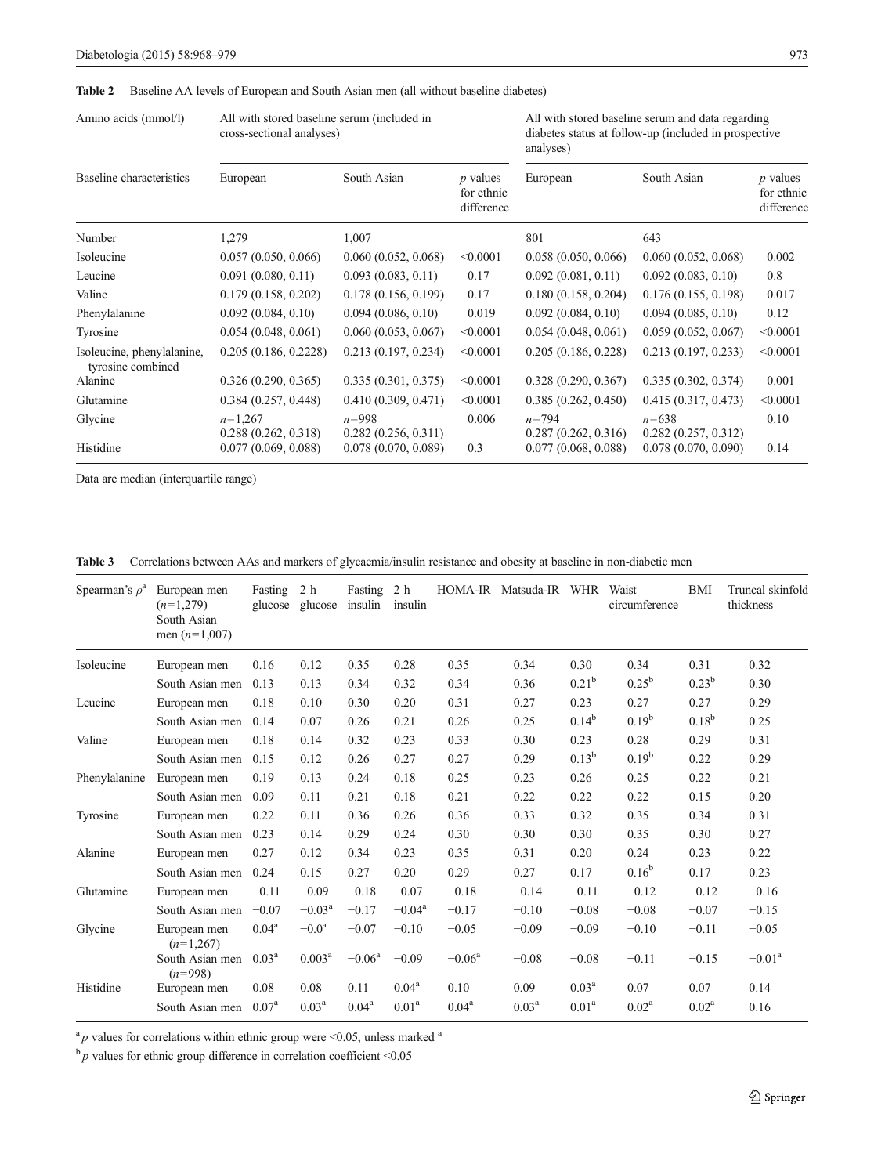## <span id="page-5-0"></span>Table 2 Baseline AA levels of European and South Asian men (all without baseline diabetes)

| Amino acids (mmol/l)                            | All with stored baseline serum (included in<br>cross-sectional analyses) |                                  | All with stored baseline serum and data regarding<br>diabetes status at follow-up (included in prospective<br>analyses) |                                  |                                  |                                        |
|-------------------------------------------------|--------------------------------------------------------------------------|----------------------------------|-------------------------------------------------------------------------------------------------------------------------|----------------------------------|----------------------------------|----------------------------------------|
| Baseline characteristics                        | European                                                                 | South Asian                      | $p$ values<br>for ethnic<br>difference                                                                                  | European                         | South Asian                      | $p$ values<br>for ethnic<br>difference |
| Number                                          | 1,279                                                                    | 1,007                            |                                                                                                                         | 801                              | 643                              |                                        |
| Isoleucine                                      | 0.057(0.050, 0.066)                                                      | 0.060(0.052, 0.068)              | < 0.0001                                                                                                                | 0.058(0.050, 0.066)              | 0.060(0.052, 0.068)              | 0.002                                  |
| Leucine                                         | 0.091(0.080, 0.11)                                                       | 0.093(0.083, 0.11)               | 0.17                                                                                                                    | 0.092(0.081, 0.11)               | 0.092(0.083, 0.10)               | 0.8                                    |
| Valine                                          | 0.179(0.158, 0.202)                                                      | 0.178(0.156, 0.199)              | 0.17                                                                                                                    | 0.180(0.158, 0.204)              | 0.176(0.155, 0.198)              | 0.017                                  |
| Phenylalanine                                   | 0.092(0.084, 0.10)                                                       | 0.094(0.086, 0.10)               | 0.019                                                                                                                   | 0.092(0.084, 0.10)               | 0.094(0.085, 0.10)               | 0.12                                   |
| Tyrosine                                        | 0.054(0.048, 0.061)                                                      | 0.060(0.053, 0.067)              | < 0.0001                                                                                                                | 0.054(0.048, 0.061)              | 0.059(0.052, 0.067)              | < 0.0001                               |
| Isoleucine, phenylalanine,<br>tyrosine combined | 0.205(0.186, 0.2228)                                                     | 0.213(0.197, 0.234)              | < 0.0001                                                                                                                | 0.205(0.186, 0.228)              | 0.213(0.197, 0.233)              | < 0.0001                               |
| Alanine                                         | 0.326(0.290, 0.365)                                                      | 0.335(0.301, 0.375)              | < 0.0001                                                                                                                | 0.328(0.290, 0.367)              | 0.335(0.302, 0.374)              | 0.001                                  |
| Glutamine                                       | 0.384(0.257, 0.448)                                                      | 0.410(0.309, 0.471)              | < 0.0001                                                                                                                | 0.385(0.262, 0.450)              | 0.415(0.317, 0.473)              | < 0.0001                               |
| Glycine                                         | $n=1,267$<br>0.288(0.262, 0.318)                                         | $n = 998$<br>0.282(0.256, 0.311) | 0.006                                                                                                                   | $n = 794$<br>0.287(0.262, 0.316) | $n = 638$<br>0.282(0.257, 0.312) | 0.10                                   |
| Histidine                                       | 0.077(0.069, 0.088)                                                      | 0.078(0.070, 0.089)              | 0.3                                                                                                                     | 0.077(0.068, 0.088)              | 0.078(0.070, 0.090)              | 0.14                                   |

Data are median (interquartile range)

|  | Table 3 Correlations between AAs and markers of glycaemia/insulin resistance and obesity at baseline in non-diabetic men |  |  |  |  |  |  |
|--|--------------------------------------------------------------------------------------------------------------------------|--|--|--|--|--|--|
|--|--------------------------------------------------------------------------------------------------------------------------|--|--|--|--|--|--|

| Spearman's $\rho^a$ | European men<br>$(n=1,279)$<br>South Asian<br>men $(n=1,007)$ | Fasting<br>glucose | 2 <sub>h</sub><br>glucose | Fasting<br>insulin | 2 <sub>h</sub><br>insulin |                 | HOMA-IR Matsuda-IR WHR |                   | Waist<br>circumference | <b>BMI</b>     | Truncal skinfold<br>thickness |
|---------------------|---------------------------------------------------------------|--------------------|---------------------------|--------------------|---------------------------|-----------------|------------------------|-------------------|------------------------|----------------|-------------------------------|
| Isoleucine          | European men                                                  | 0.16               | 0.12                      | 0.35               | 0.28                      | 0.35            | 0.34                   | 0.30              | 0.34                   | 0.31           | 0.32                          |
|                     | South Asian men                                               | 0.13               | 0.13                      | 0.34               | 0.32                      | 0.34            | 0.36                   | 0.21 <sup>b</sup> | $0.25^{\rm b}$         | $0.23^b$       | 0.30                          |
| Leucine             | European men                                                  | 0.18               | 0.10                      | 0.30               | 0.20                      | 0.31            | 0.27                   | 0.23              | 0.27                   | 0.27           | 0.29                          |
|                     | South Asian men                                               | 0.14               | 0.07                      | 0.26               | 0.21                      | 0.26            | 0.25                   | $0.14^{b}$        | $0.19^{b}$             | $0.18^{b}$     | 0.25                          |
| Valine              | European men                                                  | 0.18               | 0.14                      | 0.32               | 0.23                      | 0.33            | 0.30                   | 0.23              | 0.28                   | 0.29           | 0.31                          |
|                     | South Asian men                                               | 0.15               | 0.12                      | 0.26               | 0.27                      | 0.27            | 0.29                   | $0.13^{b}$        | $0.19^{b}$             | 0.22           | 0.29                          |
| Phenylalanine       | European men                                                  | 0.19               | 0.13                      | 0.24               | 0.18                      | 0.25            | 0.23                   | 0.26              | 0.25                   | 0.22           | 0.21                          |
|                     | South Asian men                                               | 0.09               | 0.11                      | 0.21               | 0.18                      | 0.21            | 0.22                   | 0.22              | 0.22                   | 0.15           | 0.20                          |
| Tyrosine            | European men                                                  | 0.22               | 0.11                      | 0.36               | 0.26                      | 0.36            | 0.33                   | 0.32              | 0.35                   | 0.34           | 0.31                          |
|                     | South Asian men                                               | 0.23               | 0.14                      | 0.29               | 0.24                      | 0.30            | 0.30                   | 0.30              | 0.35                   | 0.30           | 0.27                          |
| Alanine             | European men                                                  | 0.27               | 0.12                      | 0.34               | 0.23                      | 0.35            | 0.31                   | 0.20              | 0.24                   | 0.23           | 0.22                          |
|                     | South Asian men                                               | 0.24               | 0.15                      | 0.27               | 0.20                      | 0.29            | 0.27                   | 0.17              | $0.16^{\rm b}$         | 0.17           | 0.23                          |
| Glutamine           | European men                                                  | $-0.11$            | $-0.09$                   | $-0.18$            | $-0.07$                   | $-0.18$         | $-0.14$                | $-0.11$           | $-0.12$                | $-0.12$        | $-0.16$                       |
|                     | South Asian men                                               | $-0.07$            | $-0.03^{\rm a}$           | $-0.17$            | $-0.04^{\rm a}$           | $-0.17$         | $-0.10$                | $-0.08$           | $-0.08$                | $-0.07$        | $-0.15$                       |
| Glycine             | European men<br>$(n=1,267)$                                   | $0.04^{\rm a}$     | $-0.0^{\rm a}$            | $-0.07$            | $-0.10$                   | $-0.05$         | $-0.09$                | $-0.09$           | $-0.10$                | $-0.11$        | $-0.05$                       |
|                     | South Asian men<br>$(n=998)$                                  | $0.03^{\rm a}$     | 0.003 <sup>a</sup>        | $-0.06^{\rm a}$    | $-0.09$                   | $-0.06^{\rm a}$ | $-0.08$                | $-0.08$           | $-0.11$                | $-0.15$        | $-0.01a$                      |
| Histidine           | European men                                                  | 0.08               | 0.08                      | 0.11               | $0.04^{\rm a}$            | 0.10            | 0.09                   | $0.03^{\rm a}$    | 0.07                   | 0.07           | 0.14                          |
|                     | South Asian men                                               | $0.07^{\rm a}$     | 0.03 <sup>a</sup>         | $0.04^{\rm a}$     | 0.01 <sup>a</sup>         | $0.04^{\rm a}$  | 0.03 <sup>a</sup>      | 0.01 <sup>a</sup> | $0.02^{\rm a}$         | $0.02^{\rm a}$ | 0.16                          |

 $a_p$  values for correlations within ethnic group were <0.05, unless marked  $a_p$ 

 $b$  p values for ethnic group difference in correlation coefficient <0.05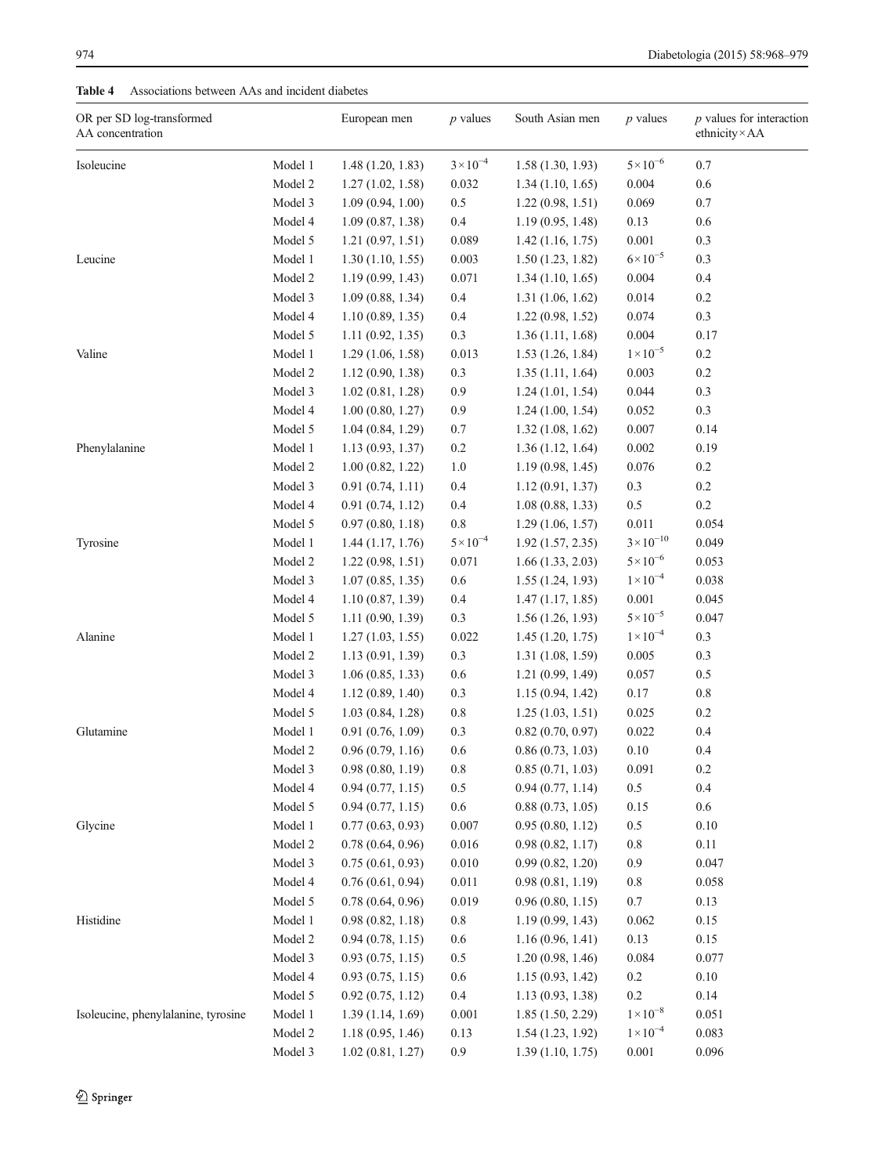<span id="page-6-0"></span>Table 4 Associations between AAs and incident diabetes

| OR per SD log-transformed<br>AA concentration |         | European men     | $p$ values         | South Asian men  | $p$ values          | $p$ values for interaction<br>ethnicity × AA |
|-----------------------------------------------|---------|------------------|--------------------|------------------|---------------------|----------------------------------------------|
| Isoleucine                                    | Model 1 | 1.48(1.20, 1.83) | $3 \times 10^{-4}$ | 1.58(1.30, 1.93) | $5 \times 10^{-6}$  | 0.7                                          |
|                                               | Model 2 | 1.27(1.02, 1.58) | 0.032              | 1.34(1.10, 1.65) | 0.004               | 0.6                                          |
|                                               | Model 3 | 1.09(0.94, 1.00) | 0.5                | 1.22(0.98, 1.51) | 0.069               | 0.7                                          |
|                                               | Model 4 | 1.09(0.87, 1.38) | 0.4                | 1.19(0.95, 1.48) | 0.13                | 0.6                                          |
|                                               | Model 5 | 1.21(0.97, 1.51) | 0.089              | 1.42(1.16, 1.75) | 0.001               | 0.3                                          |
| Leucine                                       | Model 1 | 1.30(1.10, 1.55) | 0.003              | 1.50(1.23, 1.82) | $6 \times 10^{-5}$  | 0.3                                          |
|                                               | Model 2 | 1.19(0.99, 1.43) | 0.071              | 1.34(1.10, 1.65) | 0.004               | 0.4                                          |
|                                               | Model 3 | 1.09(0.88, 1.34) | 0.4                | 1.31(1.06, 1.62) | 0.014               | 0.2                                          |
|                                               | Model 4 | 1.10(0.89, 1.35) | 0.4                | 1.22(0.98, 1.52) | 0.074               | 0.3                                          |
|                                               | Model 5 | 1.11(0.92, 1.35) | 0.3                | 1.36(1.11, 1.68) | 0.004               | 0.17                                         |
| Valine                                        | Model 1 | 1.29(1.06, 1.58) | 0.013              | 1.53(1.26, 1.84) | $1 \times 10^{-5}$  | 0.2                                          |
|                                               | Model 2 | 1.12(0.90, 1.38) | 0.3                | 1.35(1.11, 1.64) | 0.003               | 0.2                                          |
|                                               | Model 3 | 1.02(0.81, 1.28) | $0.9\,$            | 1.24(1.01, 1.54) | 0.044               | 0.3                                          |
|                                               | Model 4 | 1.00(0.80, 1.27) | 0.9                | 1.24(1.00, 1.54) | 0.052               | 0.3                                          |
|                                               | Model 5 | 1.04(0.84, 1.29) | 0.7                | 1.32(1.08, 1.62) | 0.007               | 0.14                                         |
| Phenylalanine                                 | Model 1 | 1.13(0.93, 1.37) | 0.2                | 1.36(1.12, 1.64) | 0.002               | 0.19                                         |
|                                               | Model 2 | 1.00(0.82, 1.22) | 1.0                | 1.19(0.98, 1.45) | 0.076               | $0.2\,$                                      |
|                                               | Model 3 | 0.91(0.74, 1.11) | 0.4                | 1.12(0.91, 1.37) | $0.3\,$             | 0.2                                          |
|                                               | Model 4 | 0.91(0.74, 1.12) | 0.4                | 1.08(0.88, 1.33) | 0.5                 | 0.2                                          |
|                                               | Model 5 | 0.97(0.80, 1.18) | 0.8                | 1.29(1.06, 1.57) | 0.011               | 0.054                                        |
| Tyrosine                                      | Model 1 | 1.44(1.17, 1.76) | $5 \times 10^{-4}$ | 1.92(1.57, 2.35) | $3 \times 10^{-10}$ | 0.049                                        |
|                                               | Model 2 | 1.22(0.98, 1.51) | 0.071              | 1.66(1.33, 2.03) | $5 \times 10^{-6}$  | 0.053                                        |
|                                               | Model 3 | 1.07(0.85, 1.35) | $0.6\,$            | 1.55(1.24, 1.93) | $1 \times 10^{-4}$  | 0.038                                        |
|                                               | Model 4 | 1.10(0.87, 1.39) | 0.4                | 1.47(1.17, 1.85) | 0.001               | 0.045                                        |
|                                               | Model 5 | 1.11(0.90, 1.39) | 0.3                | 1.56(1.26, 1.93) | $5 \times 10^{-5}$  | 0.047                                        |
| Alanine                                       | Model 1 | 1.27(1.03, 1.55) | 0.022              | 1.45(1.20, 1.75) | $1 \times 10^{-4}$  | 0.3                                          |
|                                               | Model 2 | 1.13(0.91, 1.39) | 0.3                | 1.31(1.08, 1.59) | 0.005               | 0.3                                          |
|                                               | Model 3 | 1.06(0.85, 1.33) | 0.6                | 1.21(0.99, 1.49) | 0.057               | 0.5                                          |
|                                               | Model 4 | 1.12(0.89, 1.40) | 0.3                | 1.15(0.94, 1.42) | 0.17                | 0.8                                          |
|                                               | Model 5 | 1.03(0.84, 1.28) | $0.8\,$            | 1.25(1.03, 1.51) | 0.025               | 0.2                                          |
| Glutamine                                     | Model 1 | 0.91(0.76, 1.09) | 0.3                | 0.82(0.70, 0.97) | 0.022               | 0.4                                          |
|                                               | Model 2 | 0.96(0.79, 1.16) | 0.6                | 0.86(0.73, 1.03) | 0.10                | 0.4                                          |
|                                               | Model 3 | 0.98(0.80, 1.19) | $\rm 0.8$          | 0.85(0.71, 1.03) | 0.091               | 0.2                                          |
|                                               | Model 4 | 0.94(0.77, 1.15) | 0.5                | 0.94(0.77, 1.14) | $0.5\,$             | 0.4                                          |
|                                               | Model 5 | 0.94(0.77, 1.15) | $0.6\,$            | 0.88(0.73, 1.05) | 0.15                | 0.6                                          |
| Glycine                                       | Model 1 | 0.77(0.63, 0.93) | 0.007              | 0.95(0.80, 1.12) | $0.5\,$             | $0.10\,$                                     |
|                                               | Model 2 | 0.78(0.64, 0.96) | 0.016              | 0.98(0.82, 1.17) | $\rm 0.8$           | $0.11\,$                                     |
|                                               | Model 3 | 0.75(0.61, 0.93) | $0.010\,$          | 0.99(0.82, 1.20) | $0.9\,$             | 0.047                                        |
|                                               | Model 4 | 0.76(0.61, 0.94) | 0.011              | 0.98(0.81, 1.19) | $0.8\,$             | 0.058                                        |
|                                               | Model 5 | 0.78(0.64, 0.96) | 0.019              | 0.96(0.80, 1.15) | 0.7                 | 0.13                                         |
| Histidine                                     | Model 1 | 0.98(0.82, 1.18) | 0.8                | 1.19(0.99, 1.43) | 0.062               | 0.15                                         |
|                                               | Model 2 | 0.94(0.78, 1.15) | 0.6                | 1.16(0.96, 1.41) | 0.13                | 0.15                                         |
|                                               | Model 3 | 0.93(0.75, 1.15) | 0.5                | 1.20(0.98, 1.46) | 0.084               | 0.077                                        |
|                                               | Model 4 | 0.93(0.75, 1.15) | 0.6                | 1.15(0.93, 1.42) | 0.2                 | 0.10                                         |
|                                               | Model 5 | 0.92(0.75, 1.12) | $0.4\,$            | 1.13(0.93, 1.38) | 0.2                 | 0.14                                         |
| Isoleucine, phenylalanine, tyrosine           | Model 1 | 1.39(1.14, 1.69) | 0.001              | 1.85(1.50, 2.29) | $1 \times 10^{-8}$  | 0.051                                        |
|                                               | Model 2 | 1.18(0.95, 1.46) | 0.13               | 1.54(1.23, 1.92) | $1 \times 10^{-4}$  | 0.083                                        |
|                                               | Model 3 | 1.02(0.81, 1.27) | $0.9\,$            | 1.39(1.10, 1.75) | 0.001               | 0.096                                        |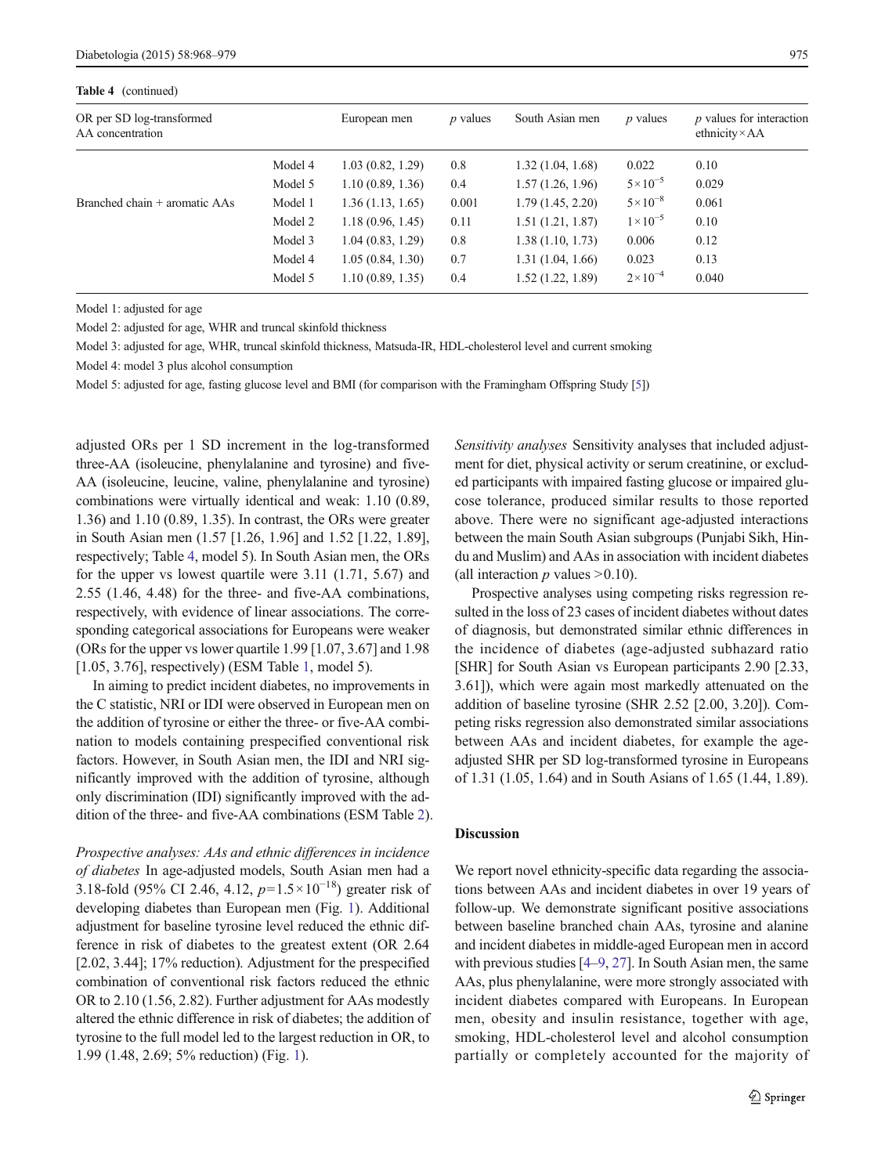| <b>Table 4</b> (continued)                    |         |                  |            |                  |                    |                                                     |
|-----------------------------------------------|---------|------------------|------------|------------------|--------------------|-----------------------------------------------------|
| OR per SD log-transformed<br>AA concentration |         | European men     | $p$ values | South Asian men  | $p$ values         | $p$ values for interaction<br>ethnicity $\times$ AA |
|                                               | Model 4 | 1.03(0.82, 1.29) | 0.8        | 1.32(1.04, 1.68) | 0.022              | 0.10                                                |
|                                               | Model 5 | 1.10(0.89, 1.36) | 0.4        | 1.57(1.26, 1.96) | $5 \times 10^{-5}$ | 0.029                                               |
| Branched chain + aromatic AAs                 | Model 1 | 1.36(1.13, 1.65) | 0.001      | 1.79(1.45, 2.20) | $5 \times 10^{-8}$ | 0.061                                               |
|                                               | Model 2 | 1.18(0.96, 1.45) | 0.11       | 1.51(1.21, 1.87) | $1 \times 10^{-5}$ | 0.10                                                |
|                                               | Model 3 | 1.04(0.83, 1.29) | 0.8        | 1.38(1.10, 1.73) | 0.006              | 0.12                                                |
|                                               | Model 4 | 1.05(0.84, 1.30) | 0.7        | 1.31(1.04, 1.66) | 0.023              | 0.13                                                |
|                                               | Model 5 | 1.10(0.89, 1.35) | 0.4        | 1.52(1.22, 1.89) | $2 \times 10^{-4}$ | 0.040                                               |

Model 1: adjusted for age

Model 2: adjusted for age, WHR and truncal skinfold thickness

Model 3: adjusted for age, WHR, truncal skinfold thickness, Matsuda-IR, HDL-cholesterol level and current smoking

Model 4: model 3 plus alcohol consumption

Model 5: adjusted for age, fasting glucose level and BMI (for comparison with the Framingham Offspring Study [[5\]](#page-10-0))

adjusted ORs per 1 SD increment in the log-transformed three-AA (isoleucine, phenylalanine and tyrosine) and five-AA (isoleucine, leucine, valine, phenylalanine and tyrosine) combinations were virtually identical and weak: 1.10 (0.89, 1.36) and 1.10 (0.89, 1.35). In contrast, the ORs were greater in South Asian men (1.57 [1.26, 1.96] and 1.52 [1.22, 1.89], respectively; Table [4](#page-6-0), model 5). In South Asian men, the ORs for the upper vs lowest quartile were 3.11 (1.71, 5.67) and 2.55 (1.46, 4.48) for the three- and five-AA combinations, respectively, with evidence of linear associations. The corresponding categorical associations for Europeans were weaker (ORs for the upper vs lower quartile 1.99 [1.07, 3.67] and 1.98 [1.05, 3.76], respectively) (ESM Table 1, model 5).

In aiming to predict incident diabetes, no improvements in the C statistic, NRI or IDI were observed in European men on the addition of tyrosine or either the three- or five-AA combination to models containing prespecified conventional risk factors. However, in South Asian men, the IDI and NRI significantly improved with the addition of tyrosine, although only discrimination (IDI) significantly improved with the addition of the three- and five-AA combinations (ESM Table 2).

Prospective analyses: AAs and ethnic differences in incidence of diabetes In age-adjusted models, South Asian men had a 3.18-fold (95% CI 2.46, 4.12,  $p=1.5\times10^{-18}$ ) greater risk of developing diabetes than European men (Fig. [1\)](#page-8-0). Additional adjustment for baseline tyrosine level reduced the ethnic difference in risk of diabetes to the greatest extent (OR 2.64 [2.02, 3.44]; 17% reduction). Adjustment for the prespecified combination of conventional risk factors reduced the ethnic OR to 2.10 (1.56, 2.82). Further adjustment for AAs modestly altered the ethnic difference in risk of diabetes; the addition of tyrosine to the full model led to the largest reduction in OR, to 1.99 (1.48, 2.69; 5% reduction) (Fig. [1](#page-8-0)).

Sensitivity analyses Sensitivity analyses that included adjustment for diet, physical activity or serum creatinine, or excluded participants with impaired fasting glucose or impaired glucose tolerance, produced similar results to those reported above. There were no significant age-adjusted interactions between the main South Asian subgroups (Punjabi Sikh, Hindu and Muslim) and AAs in association with incident diabetes (all interaction  $p$  values  $> 0.10$ ).

Prospective analyses using competing risks regression resulted in the loss of 23 cases of incident diabetes without dates of diagnosis, but demonstrated similar ethnic differences in the incidence of diabetes (age-adjusted subhazard ratio [SHR] for South Asian vs European participants 2.90 [2.33, 3.61]), which were again most markedly attenuated on the addition of baseline tyrosine (SHR 2.52 [2.00, 3.20]). Competing risks regression also demonstrated similar associations between AAs and incident diabetes, for example the ageadjusted SHR per SD log-transformed tyrosine in Europeans of 1.31 (1.05, 1.64) and in South Asians of 1.65 (1.44, 1.89).

#### Discussion

We report novel ethnicity-specific data regarding the associations between AAs and incident diabetes in over 19 years of follow-up. We demonstrate significant positive associations between baseline branched chain AAs, tyrosine and alanine and incident diabetes in middle-aged European men in accord with previous studies [[4](#page-10-0)–[9,](#page-10-0) [27\]](#page-10-0). In South Asian men, the same AAs, plus phenylalanine, were more strongly associated with incident diabetes compared with Europeans. In European men, obesity and insulin resistance, together with age, smoking, HDL-cholesterol level and alcohol consumption partially or completely accounted for the majority of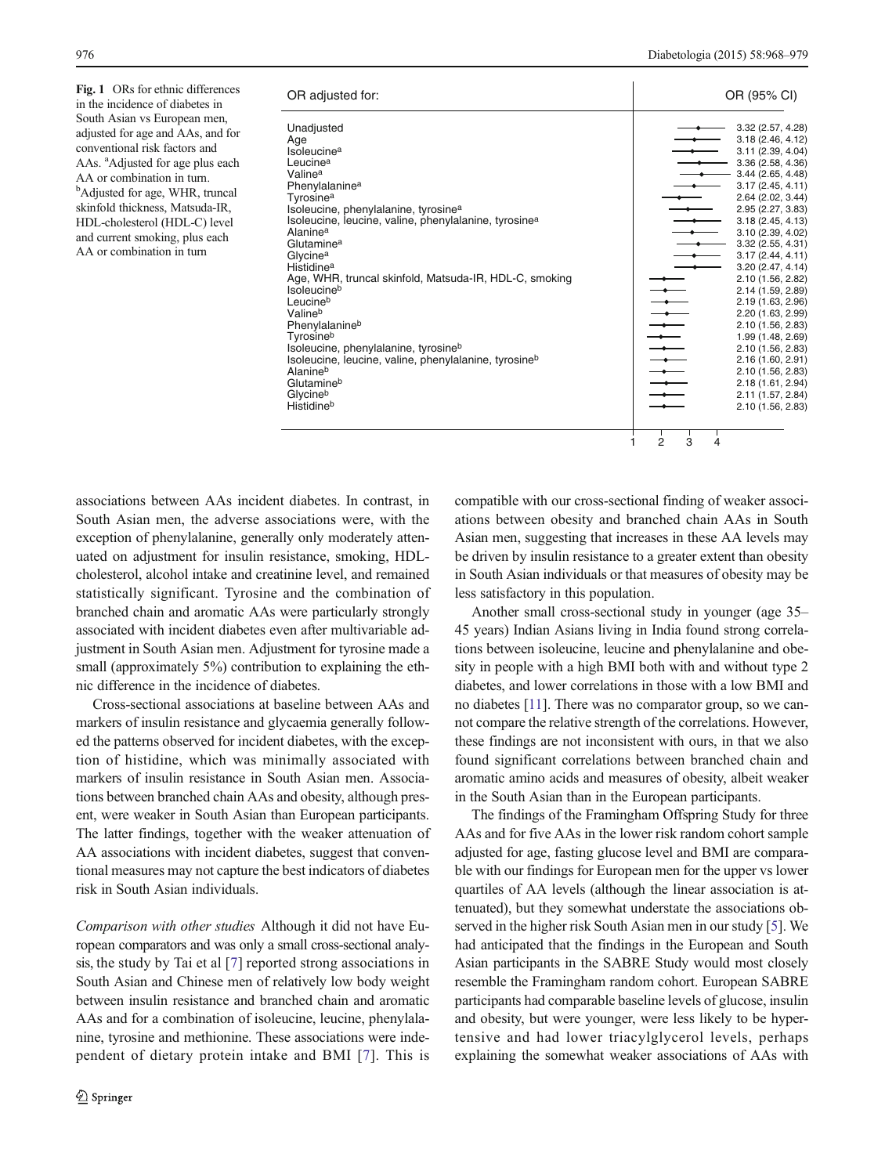<span id="page-8-0"></span>Fig. 1 ORs for ethnic differences in the incidence of diabetes in South Asian vs European men, adjusted for age and AAs, and for conventional risk factors and AAs. <sup>a</sup>Adjusted for age plus each AA or combination in turn. <sup>b</sup>Adjusted for age, WHR, truncal skinfold thickness, Matsuda-IR, HDL-cholesterol (HDL-C) level and current smoking, plus each AA or combination in turn

| OR adjusted for:                                                                                                                                                                                                                                                                                                                                                                                                                                                                                                                                                                                                                                                                  | OR (95% CI)                                                                                                                                                                                                                                                                                                                                                                                                                                                                                                                    |
|-----------------------------------------------------------------------------------------------------------------------------------------------------------------------------------------------------------------------------------------------------------------------------------------------------------------------------------------------------------------------------------------------------------------------------------------------------------------------------------------------------------------------------------------------------------------------------------------------------------------------------------------------------------------------------------|--------------------------------------------------------------------------------------------------------------------------------------------------------------------------------------------------------------------------------------------------------------------------------------------------------------------------------------------------------------------------------------------------------------------------------------------------------------------------------------------------------------------------------|
| Unadjusted<br>Age<br>Isoleucine <sup>a</sup><br>Leucine <sup>a</sup><br>Valinea<br>Phenylalanine <sup>a</sup><br>Tyrosine <sup>a</sup><br>Isoleucine, phenylalanine, tyrosine <sup>a</sup><br>Isoleucine, leucine, valine, phenylalanine, tyrosine <sup>a</sup><br>Alaninea<br>Glutamine <sup>a</sup><br>Glycine <sup>a</sup><br>Histidine <sup>a</sup><br>Age, WHR, truncal skinfold, Matsuda-IR, HDL-C, smoking<br><b>Isoleucine</b> <sup>b</sup><br>Leucineb<br>Valineb<br>Phenylalanineb<br><b>Tyrosine</b> <sup>b</sup><br>Isoleucine, phenylalanine, tyrosineb<br>Isoleucine, leucine, valine, phenylalanine, tyrosineb<br>Alanineb<br>Glutamineb<br>Glycineb<br>Histidineb | 3.32 (2.57, 4.28)<br>3.18(2.46, 4.12)<br>3.11(2.39, 4.04)<br>3.36(2.58, 4.36)<br>3.44(2.65, 4.48)<br>3.17(2.45, 4.11)<br>2.64(2.02, 3.44)<br>2.95 (2.27, 3.83)<br>3.18(2.45, 4.13)<br>3.10(2.39, 4.02)<br>3.32(2.55, 4.31)<br>3.17(2.44, 4.11)<br>3.20 (2.47, 4.14)<br>2.10 (1.56, 2.82)<br>2.14 (1.59, 2.89)<br>2.19 (1.63, 2.96)<br>2.20 (1.63, 2.99)<br>2.10 (1.56, 2.83)<br>1.99 (1.48, 2.69)<br>2.10 (1.56, 2.83)<br>2.16(1.60, 2.91)<br>2.10 (1.56, 2.83)<br>2.18 (1.61, 2.94)<br>2.11 (1.57, 2.84)<br>2.10 (1.56, 2.83) |
|                                                                                                                                                                                                                                                                                                                                                                                                                                                                                                                                                                                                                                                                                   | $\overline{2}$<br>3<br>4                                                                                                                                                                                                                                                                                                                                                                                                                                                                                                       |

associations between AAs incident diabetes. In contrast, in South Asian men, the adverse associations were, with the exception of phenylalanine, generally only moderately attenuated on adjustment for insulin resistance, smoking, HDLcholesterol, alcohol intake and creatinine level, and remained statistically significant. Tyrosine and the combination of branched chain and aromatic AAs were particularly strongly associated with incident diabetes even after multivariable adjustment in South Asian men. Adjustment for tyrosine made a small (approximately 5%) contribution to explaining the ethnic difference in the incidence of diabetes.

Cross-sectional associations at baseline between AAs and markers of insulin resistance and glycaemia generally followed the patterns observed for incident diabetes, with the exception of histidine, which was minimally associated with markers of insulin resistance in South Asian men. Associations between branched chain AAs and obesity, although present, were weaker in South Asian than European participants. The latter findings, together with the weaker attenuation of AA associations with incident diabetes, suggest that conventional measures may not capture the best indicators of diabetes risk in South Asian individuals.

Comparison with other studies Although it did not have European comparators and was only a small cross-sectional analysis, the study by Tai et al [[7](#page-10-0)] reported strong associations in South Asian and Chinese men of relatively low body weight between insulin resistance and branched chain and aromatic AAs and for a combination of isoleucine, leucine, phenylalanine, tyrosine and methionine. These associations were independent of dietary protein intake and BMI [[7](#page-10-0)]. This is compatible with our cross-sectional finding of weaker associations between obesity and branched chain AAs in South Asian men, suggesting that increases in these AA levels may be driven by insulin resistance to a greater extent than obesity in South Asian individuals or that measures of obesity may be less satisfactory in this population.

Another small cross-sectional study in younger (age 35– 45 years) Indian Asians living in India found strong correlations between isoleucine, leucine and phenylalanine and obesity in people with a high BMI both with and without type 2 diabetes, and lower correlations in those with a low BMI and no diabetes [[11](#page-10-0)]. There was no comparator group, so we cannot compare the relative strength of the correlations. However, these findings are not inconsistent with ours, in that we also found significant correlations between branched chain and aromatic amino acids and measures of obesity, albeit weaker in the South Asian than in the European participants.

The findings of the Framingham Offspring Study for three AAs and for five AAs in the lower risk random cohort sample adjusted for age, fasting glucose level and BMI are comparable with our findings for European men for the upper vs lower quartiles of AA levels (although the linear association is attenuated), but they somewhat understate the associations observed in the higher risk South Asian men in our study [[5\]](#page-10-0). We had anticipated that the findings in the European and South Asian participants in the SABRE Study would most closely resemble the Framingham random cohort. European SABRE participants had comparable baseline levels of glucose, insulin and obesity, but were younger, were less likely to be hypertensive and had lower triacylglycerol levels, perhaps explaining the somewhat weaker associations of AAs with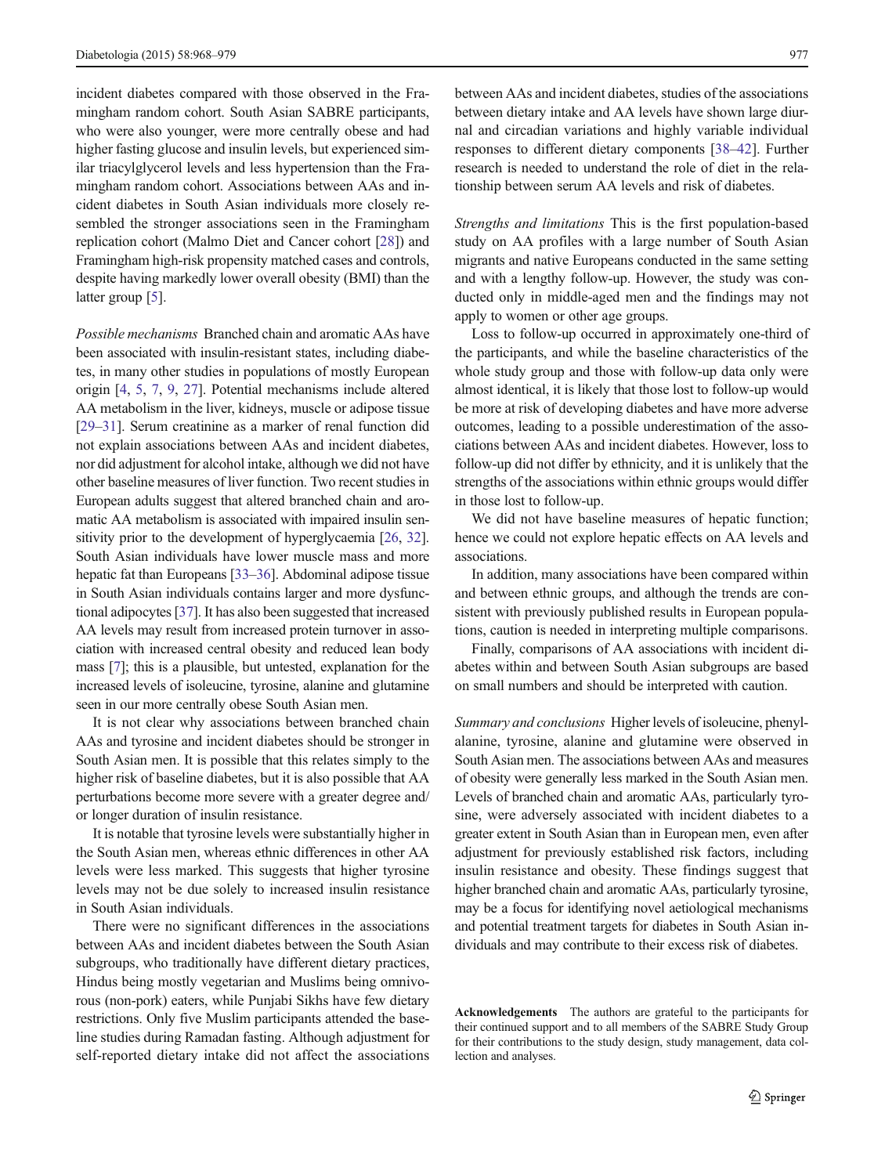incident diabetes compared with those observed in the Framingham random cohort. South Asian SABRE participants, who were also younger, were more centrally obese and had higher fasting glucose and insulin levels, but experienced similar triacylglycerol levels and less hypertension than the Framingham random cohort. Associations between AAs and incident diabetes in South Asian individuals more closely resembled the stronger associations seen in the Framingham replication cohort (Malmo Diet and Cancer cohort [[28\]](#page-10-0)) and Framingham high-risk propensity matched cases and controls, despite having markedly lower overall obesity (BMI) than the latter group [[5](#page-10-0)].

Possible mechanisms Branched chain and aromatic AAs have been associated with insulin-resistant states, including diabetes, in many other studies in populations of mostly European origin [[4](#page-10-0), [5](#page-10-0), [7,](#page-10-0) [9,](#page-10-0) [27](#page-10-0)]. Potential mechanisms include altered AA metabolism in the liver, kidneys, muscle or adipose tissue [\[29](#page-10-0)–[31\]](#page-11-0). Serum creatinine as a marker of renal function did not explain associations between AAs and incident diabetes, nor did adjustment for alcohol intake, although we did not have other baseline measures of liver function. Two recent studies in European adults suggest that altered branched chain and aromatic AA metabolism is associated with impaired insulin sen-sitivity prior to the development of hyperglycaemia [[26](#page-10-0), [32\]](#page-11-0). South Asian individuals have lower muscle mass and more hepatic fat than Europeans [\[33](#page-11-0)–[36](#page-11-0)]. Abdominal adipose tissue in South Asian individuals contains larger and more dysfunctional adipocytes [\[37](#page-11-0)]. It has also been suggested that increased AA levels may result from increased protein turnover in association with increased central obesity and reduced lean body mass [\[7](#page-10-0)]; this is a plausible, but untested, explanation for the increased levels of isoleucine, tyrosine, alanine and glutamine seen in our more centrally obese South Asian men.

It is not clear why associations between branched chain AAs and tyrosine and incident diabetes should be stronger in South Asian men. It is possible that this relates simply to the higher risk of baseline diabetes, but it is also possible that AA perturbations become more severe with a greater degree and/ or longer duration of insulin resistance.

It is notable that tyrosine levels were substantially higher in the South Asian men, whereas ethnic differences in other AA levels were less marked. This suggests that higher tyrosine levels may not be due solely to increased insulin resistance in South Asian individuals.

There were no significant differences in the associations between AAs and incident diabetes between the South Asian subgroups, who traditionally have different dietary practices, Hindus being mostly vegetarian and Muslims being omnivorous (non-pork) eaters, while Punjabi Sikhs have few dietary restrictions. Only five Muslim participants attended the baseline studies during Ramadan fasting. Although adjustment for self-reported dietary intake did not affect the associations between AAs and incident diabetes, studies of the associations between dietary intake and AA levels have shown large diurnal and circadian variations and highly variable individual responses to different dietary components [\[38](#page-11-0)–[42](#page-11-0)]. Further research is needed to understand the role of diet in the relationship between serum AA levels and risk of diabetes.

Strengths and limitations This is the first population-based study on AA profiles with a large number of South Asian migrants and native Europeans conducted in the same setting and with a lengthy follow-up. However, the study was conducted only in middle-aged men and the findings may not apply to women or other age groups.

Loss to follow-up occurred in approximately one-third of the participants, and while the baseline characteristics of the whole study group and those with follow-up data only were almost identical, it is likely that those lost to follow-up would be more at risk of developing diabetes and have more adverse outcomes, leading to a possible underestimation of the associations between AAs and incident diabetes. However, loss to follow-up did not differ by ethnicity, and it is unlikely that the strengths of the associations within ethnic groups would differ in those lost to follow-up.

We did not have baseline measures of hepatic function; hence we could not explore hepatic effects on AA levels and associations.

In addition, many associations have been compared within and between ethnic groups, and although the trends are consistent with previously published results in European populations, caution is needed in interpreting multiple comparisons.

Finally, comparisons of AA associations with incident diabetes within and between South Asian subgroups are based on small numbers and should be interpreted with caution.

Summary and conclusions Higher levels of isoleucine, phenylalanine, tyrosine, alanine and glutamine were observed in South Asian men. The associations between AAs and measures of obesity were generally less marked in the South Asian men. Levels of branched chain and aromatic AAs, particularly tyrosine, were adversely associated with incident diabetes to a greater extent in South Asian than in European men, even after adjustment for previously established risk factors, including insulin resistance and obesity. These findings suggest that higher branched chain and aromatic AAs, particularly tyrosine, may be a focus for identifying novel aetiological mechanisms and potential treatment targets for diabetes in South Asian individuals and may contribute to their excess risk of diabetes.

Acknowledgements The authors are grateful to the participants for their continued support and to all members of the SABRE Study Group for their contributions to the study design, study management, data collection and analyses.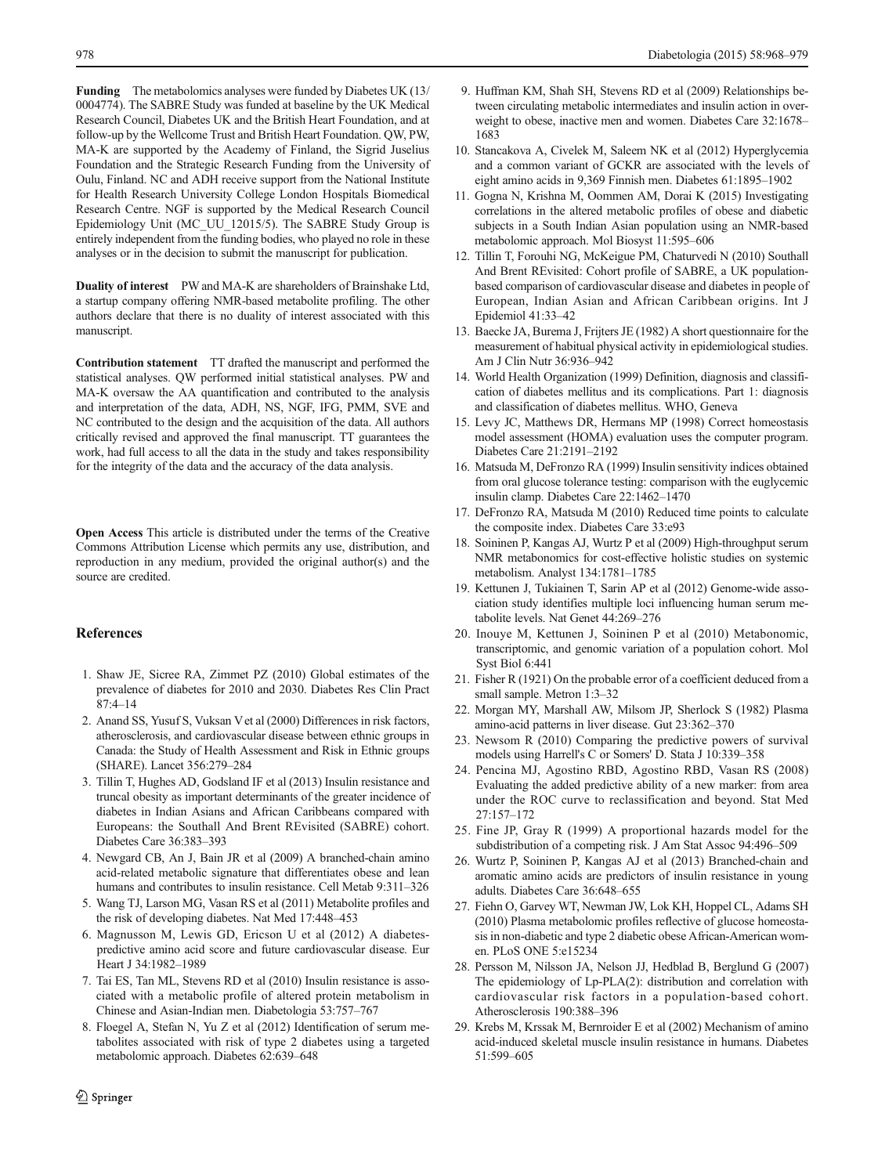<span id="page-10-0"></span>Funding The metabolomics analyses were funded by Diabetes UK (13/ 0004774). The SABRE Study was funded at baseline by the UK Medical Research Council, Diabetes UK and the British Heart Foundation, and at follow-up by the Wellcome Trust and British Heart Foundation. QW, PW, MA-K are supported by the Academy of Finland, the Sigrid Juselius Foundation and the Strategic Research Funding from the University of Oulu, Finland. NC and ADH receive support from the National Institute for Health Research University College London Hospitals Biomedical Research Centre. NGF is supported by the Medical Research Council Epidemiology Unit (MC\_UU\_12015/5). The SABRE Study Group is entirely independent from the funding bodies, who played no role in these analyses or in the decision to submit the manuscript for publication.

Duality of interest PW and MA-K are shareholders of Brainshake Ltd, a startup company offering NMR-based metabolite profiling. The other authors declare that there is no duality of interest associated with this manuscript.

Contribution statement TT drafted the manuscript and performed the statistical analyses. QW performed initial statistical analyses. PW and MA-K oversaw the AA quantification and contributed to the analysis and interpretation of the data, ADH, NS, NGF, IFG, PMM, SVE and NC contributed to the design and the acquisition of the data. All authors critically revised and approved the final manuscript. TT guarantees the work, had full access to all the data in the study and takes responsibility for the integrity of the data and the accuracy of the data analysis.

Open Access This article is distributed under the terms of the Creative Commons Attribution License which permits any use, distribution, and reproduction in any medium, provided the original author(s) and the source are credited.

#### References

- 1. Shaw JE, Sicree RA, Zimmet PZ (2010) Global estimates of the prevalence of diabetes for 2010 and 2030. Diabetes Res Clin Pract 87:4–14
- 2. Anand SS, Yusuf S, Vuksan Vet al (2000) Differences in risk factors, atherosclerosis, and cardiovascular disease between ethnic groups in Canada: the Study of Health Assessment and Risk in Ethnic groups (SHARE). Lancet 356:279–284
- 3. Tillin T, Hughes AD, Godsland IF et al (2013) Insulin resistance and truncal obesity as important determinants of the greater incidence of diabetes in Indian Asians and African Caribbeans compared with Europeans: the Southall And Brent REvisited (SABRE) cohort. Diabetes Care 36:383–393
- 4. Newgard CB, An J, Bain JR et al (2009) A branched-chain amino acid-related metabolic signature that differentiates obese and lean humans and contributes to insulin resistance. Cell Metab 9:311–326
- 5. Wang TJ, Larson MG, Vasan RS et al (2011) Metabolite profiles and the risk of developing diabetes. Nat Med 17:448–453
- 6. Magnusson M, Lewis GD, Ericson U et al (2012) A diabetespredictive amino acid score and future cardiovascular disease. Eur Heart J 34:1982–1989
- 7. Tai ES, Tan ML, Stevens RD et al (2010) Insulin resistance is associated with a metabolic profile of altered protein metabolism in Chinese and Asian-Indian men. Diabetologia 53:757–767
- 8. Floegel A, Stefan N, Yu Z et al (2012) Identification of serum metabolites associated with risk of type 2 diabetes using a targeted metabolomic approach. Diabetes 62:639–648
- 9. Huffman KM, Shah SH, Stevens RD et al (2009) Relationships between circulating metabolic intermediates and insulin action in overweight to obese, inactive men and women. Diabetes Care 32:1678– 1683
- 10. Stancakova A, Civelek M, Saleem NK et al (2012) Hyperglycemia and a common variant of GCKR are associated with the levels of eight amino acids in 9,369 Finnish men. Diabetes 61:1895–1902
- 11. Gogna N, Krishna M, Oommen AM, Dorai K (2015) Investigating correlations in the altered metabolic profiles of obese and diabetic subjects in a South Indian Asian population using an NMR-based metabolomic approach. Mol Biosyst 11:595–606
- 12. Tillin T, Forouhi NG, McKeigue PM, Chaturvedi N (2010) Southall And Brent REvisited: Cohort profile of SABRE, a UK populationbased comparison of cardiovascular disease and diabetes in people of European, Indian Asian and African Caribbean origins. Int J Epidemiol 41:33–42
- 13. Baecke JA, Burema J, Frijters JE (1982) A short questionnaire for the measurement of habitual physical activity in epidemiological studies. Am J Clin Nutr 36:936–942
- 14. World Health Organization (1999) Definition, diagnosis and classification of diabetes mellitus and its complications. Part 1: diagnosis and classification of diabetes mellitus. WHO, Geneva
- 15. Levy JC, Matthews DR, Hermans MP (1998) Correct homeostasis model assessment (HOMA) evaluation uses the computer program. Diabetes Care 21:2191–2192
- 16. Matsuda M, DeFronzo RA (1999) Insulin sensitivity indices obtained from oral glucose tolerance testing: comparison with the euglycemic insulin clamp. Diabetes Care 22:1462–1470
- 17. DeFronzo RA, Matsuda M (2010) Reduced time points to calculate the composite index. Diabetes Care 33:e93
- 18. Soininen P, Kangas AJ, Wurtz P et al (2009) High-throughput serum NMR metabonomics for cost-effective holistic studies on systemic metabolism. Analyst 134:1781–1785
- 19. Kettunen J, Tukiainen T, Sarin AP et al (2012) Genome-wide association study identifies multiple loci influencing human serum metabolite levels. Nat Genet 44:269–276
- 20. Inouye M, Kettunen J, Soininen P et al (2010) Metabonomic, transcriptomic, and genomic variation of a population cohort. Mol Syst Biol 6:441
- 21. Fisher R (1921) On the probable error of a coefficient deduced from a small sample. Metron 1:3–32
- 22. Morgan MY, Marshall AW, Milsom JP, Sherlock S (1982) Plasma amino-acid patterns in liver disease. Gut 23:362–370
- 23. Newsom R (2010) Comparing the predictive powers of survival models using Harrell's C or Somers' D. Stata J 10:339–358
- 24. Pencina MJ, Agostino RBD, Agostino RBD, Vasan RS (2008) Evaluating the added predictive ability of a new marker: from area under the ROC curve to reclassification and beyond. Stat Med 27:157–172
- 25. Fine JP, Gray R (1999) A proportional hazards model for the subdistribution of a competing risk. J Am Stat Assoc 94:496–509
- 26. Wurtz P, Soininen P, Kangas AJ et al (2013) Branched-chain and aromatic amino acids are predictors of insulin resistance in young adults. Diabetes Care 36:648–655
- 27. Fiehn O, Garvey WT, Newman JW, Lok KH, Hoppel CL, Adams SH (2010) Plasma metabolomic profiles reflective of glucose homeostasis in non-diabetic and type 2 diabetic obese African-American women. PLoS ONE 5:e15234
- 28. Persson M, Nilsson JA, Nelson JJ, Hedblad B, Berglund G (2007) The epidemiology of Lp-PLA(2): distribution and correlation with cardiovascular risk factors in a population-based cohort. Atherosclerosis 190:388–396
- 29. Krebs M, Krssak M, Bernroider E et al (2002) Mechanism of amino acid-induced skeletal muscle insulin resistance in humans. Diabetes 51:599–605